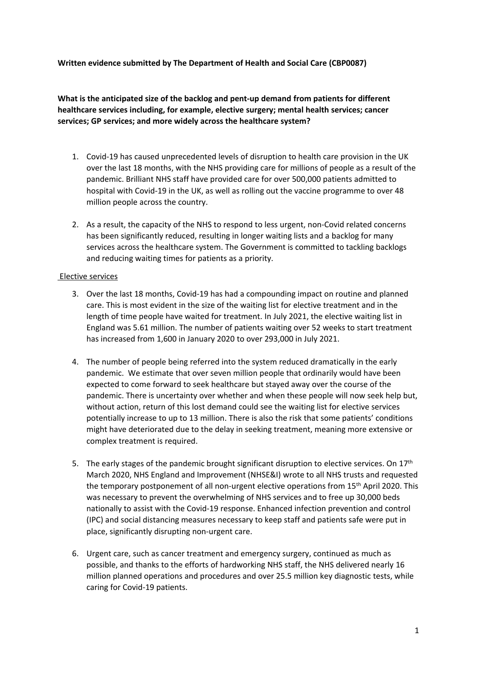### **Written evidence submitted by The Department of Health and Social Care (CBP0087)**

**What is the anticipated size of the backlog and pent-up demand from patients for different healthcare services including, for example, elective surgery; mental health services; cancer services; GP services; and more widely across the healthcare system?**

- 1. Covid-19 has caused unprecedented levels of disruption to health care provision in the UK over the last 18 months, with the NHS providing care for millions of people as a result of the pandemic. Brilliant NHS staff have provided care for over 500,000 patients admitted to hospital with Covid-19 in the UK, as well as rolling out the vaccine programme to over 48 million people across the country.
- 2. As a result, the capacity of the NHS to respond to less urgent, non-Covid related concerns has been significantly reduced, resulting in longer waiting lists and a backlog for many services across the healthcare system. The Government is committed to tackling backlogs and reducing waiting times for patients as a priority.

### Elective services

- 3. Over the last 18 months, Covid-19 has had a compounding impact on routine and planned care. This is most evident in the size of the waiting list for elective treatment and in the length of time people have waited for treatment. In July 2021, the elective waiting list in England was 5.61 million. The number of patients waiting over 52 weeks to start treatment has increased from 1,600 in January 2020 to over 293,000 in July 2021.
- 4. The number of people being referred into the system reduced dramatically in the early pandemic. We estimate that over seven million people that ordinarily would have been expected to come forward to seek healthcare but stayed away over the course of the pandemic. There is uncertainty over whether and when these people will now seek help but, without action, return of this lost demand could see the waiting list for elective services potentially increase to up to 13 million. There is also the risk that some patients' conditions might have deteriorated due to the delay in seeking treatment, meaning more extensive or complex treatment is required.
- 5. The early stages of the pandemic brought significant disruption to elective services. On  $17<sup>th</sup>$ March 2020, NHS England and Improvement (NHSE&I) wrote to all NHS trusts and requested the temporary postponement of all non-urgent elective operations from 15<sup>th</sup> April 2020. This was necessary to prevent the overwhelming of NHS services and to free up 30,000 beds nationally to assist with the Covid-19 response. Enhanced infection prevention and control (IPC) and social distancing measures necessary to keep staff and patients safe were put in place, significantly disrupting non-urgent care.
- 6. Urgent care, such as cancer treatment and emergency surgery, continued as much as possible, and thanks to the efforts of hardworking NHS staff, the NHS delivered nearly 16 million planned operations and procedures and over 25.5 million key diagnostic tests, while caring for Covid-19 patients.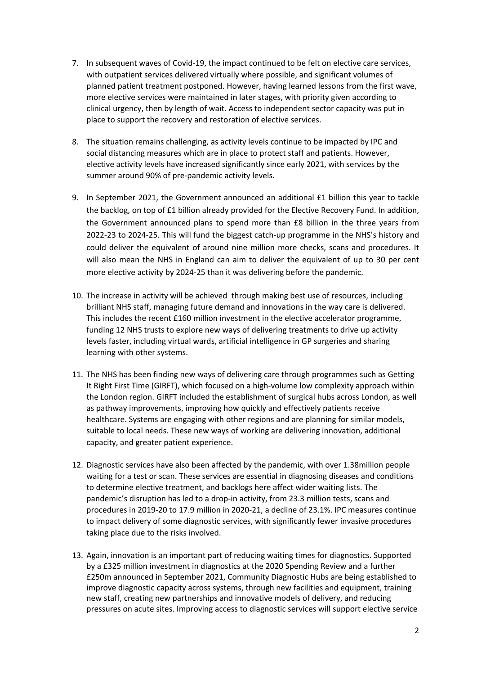- 7. In subsequent waves of Covid-19, the impact continued to be felt on elective care services, with outpatient services delivered virtually where possible, and significant volumes of planned patient treatment postponed. However, having learned lessons from the first wave, more elective services were maintained in later stages, with priority given according to clinical urgency, then by length of wait. Access to independent sector capacity was put in place to support the recovery and restoration of elective services.
- 8. The situation remains challenging, as activity levels continue to be impacted by IPC and social distancing measures which are in place to protect staff and patients. However, elective activity levels have increased significantly since early 2021, with services by the summer around 90% of pre-pandemic activity levels.
- 9. In September 2021, the Government announced an additional £1 billion this year to tackle the backlog, on top of £1 billion already provided for the Elective Recovery Fund. In addition, the Government announced plans to spend more than £8 billion in the three years from 2022-23 to 2024-25. This will fund the biggest catch-up programme in the NHS's history and could deliver the equivalent of around nine million more checks, scans and procedures. It will also mean the NHS in England can aim to deliver the equivalent of up to 30 per cent more elective activity by 2024-25 than it was delivering before the pandemic.
- 10. The increase in activity will be achieved through making best use of resources, including brilliant NHS staff, managing future demand and innovations in the way care is delivered. This includes the recent £160 million investment in the elective accelerator programme, funding 12 NHS trusts to explore new ways of delivering treatments to drive up activity levels faster, including virtual wards, artificial intelligence in GP surgeries and sharing learning with other systems.
- 11. The NHS has been finding new ways of delivering care through programmes such as Getting It Right First Time (GIRFT), which focused on a high-volume low complexity approach within the London region. GIRFT included the establishment of surgical hubs across London, as well as pathway improvements, improving how quickly and effectively patients receive healthcare. Systems are engaging with other regions and are planning for similar models, suitable to local needs. These new ways of working are delivering innovation, additional capacity, and greater patient experience.
- 12. Diagnostic services have also been affected by the pandemic, with over 1.38million people waiting for a test or scan. These services are essential in diagnosing diseases and conditions to determine elective treatment, and backlogs here affect wider waiting lists. The pandemic's disruption has led to a drop-in activity, from 23.3 million tests, scans and procedures in 2019-20 to 17.9 million in 2020-21, a decline of 23.1%. IPC measures continue to impact delivery of some diagnostic services, with significantly fewer invasive procedures taking place due to the risks involved.
- 13. Again, innovation is an important part of reducing waiting times for diagnostics. Supported by a £325 million investment in diagnostics at the 2020 Spending Review and a further £250m announced in September 2021, Community Diagnostic Hubs are being established to improve diagnostic capacity across systems, through new facilities and equipment, training new staff, creating new partnerships and innovative models of delivery, and reducing pressures on acute sites. Improving access to diagnostic services will support elective service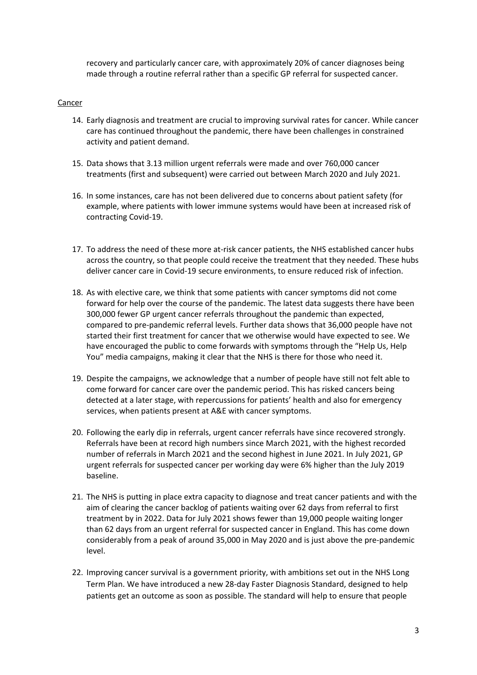recovery and particularly cancer care, with approximately 20% of cancer diagnoses being made through a routine referral rather than a specific GP referral for suspected cancer.

### Cancer

- 14. Early diagnosis and treatment are crucial to improving survival rates for cancer. While cancer care has continued throughout the pandemic, there have been challenges in constrained activity and patient demand.
- 15. Data shows that 3.13 million urgent referrals were made and over 760,000 cancer treatments (first and subsequent) were carried out between March 2020 and July 2021.
- 16. In some instances, care has not been delivered due to concerns about patient safety (for example, where patients with lower immune systems would have been at increased risk of contracting Covid-19.
- 17. To address the need of these more at-risk cancer patients, the NHS established cancer hubs across the country, so that people could receive the treatment that they needed. These hubs deliver cancer care in Covid-19 secure environments, to ensure reduced risk of infection.
- 18. As with elective care, we think that some patients with cancer symptoms did not come forward for help over the course of the pandemic. The latest data suggests there have been 300,000 fewer GP urgent cancer referrals throughout the pandemic than expected, compared to pre-pandemic referral levels. Further data shows that 36,000 people have not started their first treatment for cancer that we otherwise would have expected to see. We have encouraged the public to come forwards with symptoms through the "Help Us, Help You" media campaigns, making it clear that the NHS is there for those who need it.
- 19. Despite the campaigns, we acknowledge that a number of people have still not felt able to come forward for cancer care over the pandemic period. This has risked cancers being detected at a later stage, with repercussions for patients' health and also for emergency services, when patients present at A&E with cancer symptoms.
- 20. Following the early dip in referrals, urgent cancer referrals have since recovered strongly. Referrals have been at record high numbers since March 2021, with the highest recorded number of referrals in March 2021 and the second highest in June 2021. In July 2021, GP urgent referrals for suspected cancer per working day were 6% higher than the July 2019 baseline.
- 21. The NHS is putting in place extra capacity to diagnose and treat cancer patients and with the aim of clearing the cancer backlog of patients waiting over 62 days from referral to first treatment by in 2022. Data for July 2021 shows fewer than 19,000 people waiting longer than 62 days from an urgent referral for suspected cancer in England. This has come down considerably from a peak of around 35,000 in May 2020 and is just above the pre-pandemic level.
- 22. Improving cancer survival is a government priority, with ambitions set out in the NHS Long Term Plan. We have introduced a new 28-day Faster Diagnosis Standard, designed to help patients get an outcome as soon as possible. The standard will help to ensure that people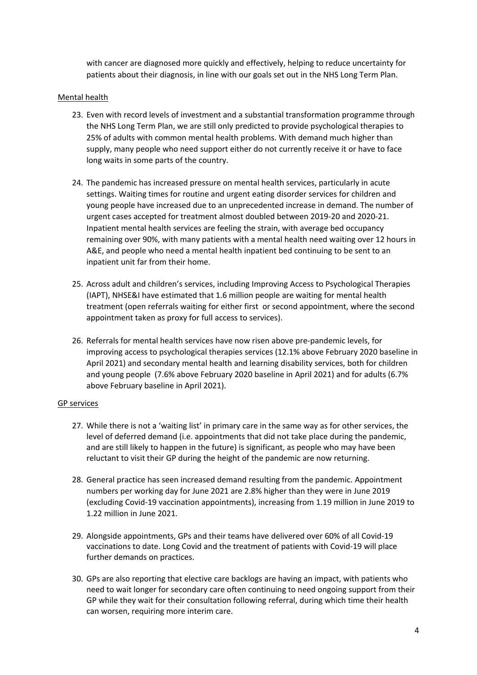with cancer are diagnosed more quickly and effectively, helping to reduce uncertainty for patients about their diagnosis, in line with our goals set out in the NHS Long Term Plan.

### Mental health

- 23. Even with record levels of investment and a substantial transformation programme through the NHS Long Term Plan, we are still only predicted to provide psychological therapies to 25% of adults with common mental health problems. With demand much higher than supply, many people who need support either do not currently receive it or have to face long waits in some parts of the country.
- 24. The pandemic has increased pressure on mental health services, particularly in acute settings. Waiting times for routine and urgent eating disorder services for children and young people have increased due to an unprecedented increase in demand. The number of urgent cases accepted for treatment almost doubled between 2019-20 and 2020-21. Inpatient mental health services are feeling the strain, with average bed occupancy remaining over 90%, with many patients with a mental health need waiting over 12 hours in A&E, and people who need a mental health inpatient bed continuing to be sent to an inpatient unit far from their home.
- 25. Across adult and children's services, including Improving Access to Psychological Therapies (IAPT), NHSE&I have estimated that 1.6 million people are waiting for mental health treatment (open referrals waiting for either first or second appointment, where the second appointment taken as proxy for full access to services).
- 26. Referrals for mental health services have now risen above pre-pandemic levels, for improving access to psychological therapies services (12.1% above February 2020 baseline in April 2021) and secondary mental health and learning disability services, both for children and young people (7.6% above February 2020 baseline in April 2021) and for adults (6.7% above February baseline in April 2021).

### GP services

- 27. While there is not a 'waiting list' in primary care in the same way as for other services, the level of deferred demand (i.e. appointments that did not take place during the pandemic, and are still likely to happen in the future) is significant, as people who may have been reluctant to visit their GP during the height of the pandemic are now returning.
- 28. General practice has seen increased demand resulting from the pandemic. Appointment numbers per working day for June 2021 are 2.8% higher than they were in June 2019 (excluding Covid-19 vaccination appointments), increasing from 1.19 million in June 2019 to 1.22 million in June 2021.
- 29. Alongside appointments, GPs and their teams have delivered over 60% of all Covid-19 vaccinations to date. Long Covid and the treatment of patients with Covid-19 will place further demands on practices.
- 30. GPs are also reporting that elective care backlogs are having an impact, with patients who need to wait longer for secondary care often continuing to need ongoing support from their GP while they wait for their consultation following referral, during which time their health can worsen, requiring more interim care.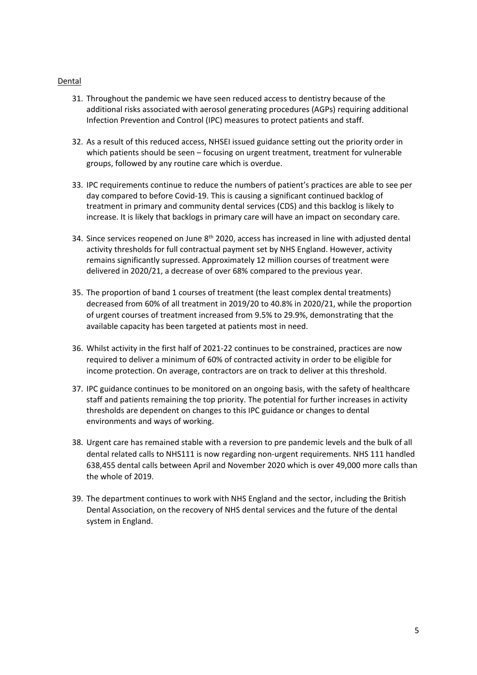### Dental

- 31. Throughout the pandemic we have seen reduced access to dentistry because of the additional risks associated with aerosol generating procedures (AGPs) requiring additional Infection Prevention and Control (IPC) measures to protect patients and staff.
- 32. As a result of this reduced access, NHSEI issued guidance setting out the priority order in which patients should be seen – focusing on urgent treatment, treatment for vulnerable groups, followed by any routine care which is overdue.
- 33. IPC requirements continue to reduce the numbers of patient's practices are able to see per day compared to before Covid-19. This is causing a significant continued backlog of treatment in primary and community dental services (CDS) and this backlog is likely to increase. It is likely that backlogs in primary care will have an impact on secondary care.
- 34. Since services reopened on June 8<sup>th</sup> 2020, access has increased in line with adjusted dental activity thresholds for full contractual payment set by NHS England. However, activity remains significantly supressed. Approximately 12 million courses of treatment were delivered in 2020/21, a decrease of over 68% compared to the previous year.
- 35. The proportion of band 1 courses of treatment (the least complex dental treatments) decreased from 60% of all treatment in 2019/20 to 40.8% in 2020/21, while the proportion of urgent courses of treatment increased from 9.5% to 29.9%, demonstrating that the available capacity has been targeted at patients most in need.
- 36. Whilst activity in the first half of 2021-22 continues to be constrained, practices are now required to deliver a minimum of 60% of contracted activity in order to be eligible for income protection. On average, contractors are on track to deliver at this threshold.
- 37. IPC guidance continues to be monitored on an ongoing basis, with the safety of healthcare staff and patients remaining the top priority. The potential for further increases in activity thresholds are dependent on changes to this IPC guidance or changes to dental environments and ways of working.
- 38. Urgent care has remained stable with a reversion to pre pandemic levels and the bulk of all dental related calls to NHS111 is now regarding non-urgent requirements. NHS 111 handled 638,455 dental calls between April and November 2020 which is over 49,000 more calls than the whole of 2019.
- 39. The department continues to work with NHS England and the sector, including the British Dental Association, on the recovery of NHS dental services and the future of the dental system in England.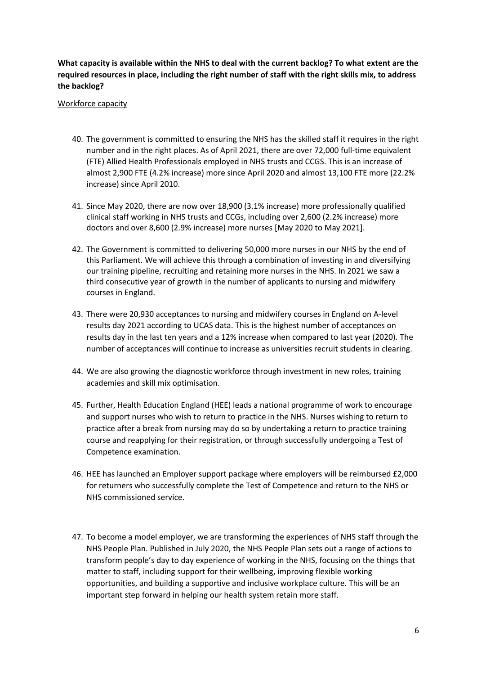**What capacity is available within the NHS to deal with the current backlog? To what extent are the required resources in place, including the right number of staff with the right skills mix, to address the backlog?**

### Workforce capacity

- 40. The government is committed to ensuring the NHS has the skilled staff it requires in the right number and in the right places. As of April 2021, there are over 72,000 full-time equivalent (FTE) Allied Health Professionals employed in NHS trusts and CCGS. This is an increase of almost 2,900 FTE (4.2% increase) more since April 2020 and almost 13,100 FTE more (22.2% increase) since April 2010.
- 41. Since May 2020, there are now over 18,900 (3.1% increase) more professionally qualified clinical staff working in NHS trusts and CCGs, including over 2,600 (2.2% increase) more doctors and over 8,600 (2.9% increase) more nurses [May 2020 to May 2021].
- 42. The Government is committed to delivering 50,000 more nurses in our NHS by the end of this Parliament. We will achieve this through a combination of investing in and diversifying our training pipeline, recruiting and retaining more nurses in the NHS. In 2021 we saw a third consecutive year of growth in the number of applicants to nursing and midwifery courses in England.
- 43. There were 20,930 acceptances to nursing and midwifery courses in England on A-level results day 2021 according to UCAS data. This is the highest number of acceptances on results day in the last ten years and a 12% increase when compared to last year (2020). The number of acceptances will continue to increase as universities recruit students in clearing.
- 44. We are also growing the diagnostic workforce through investment in new roles, training academies and skill mix optimisation.
- 45. Further, Health Education England (HEE) leads a national programme of work to encourage and support nurses who wish to return to practice in the NHS. Nurses wishing to return to practice after a break from nursing may do so by undertaking a return to practice training course and reapplying for their registration, or through successfully undergoing a Test of Competence examination.
- 46. HEE has launched an Employer support package where employers will be reimbursed £2,000 for returners who successfully complete the Test of Competence and return to the NHS or NHS commissioned service.
- 47. To become a model employer, we are transforming the experiences of NHS staff through the NHS People Plan. Published in July 2020, the NHS People Plan sets out a range of actions to transform people's day to day experience of working in the NHS, focusing on the things that matter to staff, including support for their wellbeing, improving flexible working opportunities, and building a supportive and inclusive workplace culture. This will be an important step forward in helping our health system retain more staff.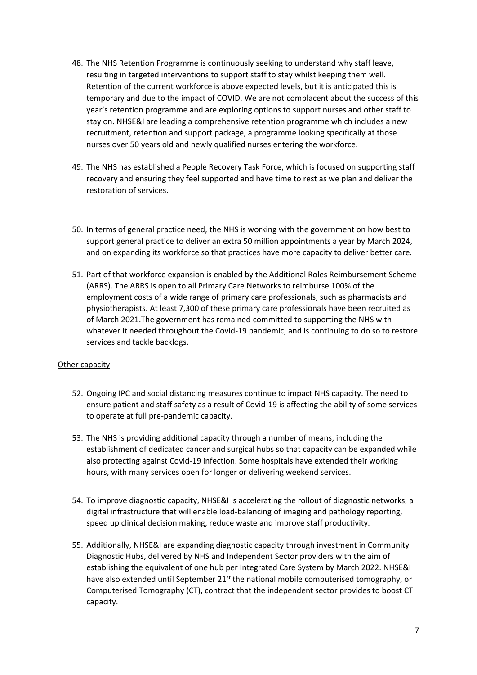- 48. The NHS Retention Programme is continuously seeking to understand why staff leave, resulting in targeted interventions to support staff to stay whilst keeping them well. Retention of the current workforce is above expected levels, but it is anticipated this is temporary and due to the impact of COVID. We are not complacent about the success of this year's retention programme and are exploring options to support nurses and other staff to stay on. NHSE&I are leading a comprehensive retention programme which includes a new recruitment, retention and support package, a programme looking specifically at those nurses over 50 years old and newly qualified nurses entering the workforce.
- 49. The NHS has established a People Recovery Task Force, which is focused on supporting staff recovery and ensuring they feel supported and have time to rest as we plan and deliver the restoration of services.
- 50. In terms of general practice need, the NHS is working with the government on how best to support general practice to deliver an extra 50 million appointments a year by March 2024, and on expanding its workforce so that practices have more capacity to deliver better care.
- 51. Part of that workforce expansion is enabled by the Additional Roles Reimbursement Scheme (ARRS). The ARRS is open to all Primary Care Networks to reimburse 100% of the employment costs of a wide range of primary care professionals, such as pharmacists and physiotherapists. At least 7,300 of these primary care professionals have been recruited as of March 2021.The government has remained committed to supporting the NHS with whatever it needed throughout the Covid-19 pandemic, and is continuing to do so to restore services and tackle backlogs.

## Other capacity

- 52. Ongoing IPC and social distancing measures continue to impact NHS capacity. The need to ensure patient and staff safety as a result of Covid-19 is affecting the ability of some services to operate at full pre-pandemic capacity.
- 53. The NHS is providing additional capacity through a number of means, including the establishment of dedicated cancer and surgical hubs so that capacity can be expanded while also protecting against Covid-19 infection. Some hospitals have extended their working hours, with many services open for longer or delivering weekend services.
- 54. To improve diagnostic capacity, NHSE&I is accelerating the rollout of diagnostic networks, a digital infrastructure that will enable load-balancing of imaging and pathology reporting, speed up clinical decision making, reduce waste and improve staff productivity.
- 55. Additionally, NHSE&I are expanding diagnostic capacity through investment in Community Diagnostic Hubs, delivered by NHS and Independent Sector providers with the aim of establishing the equivalent of one hub per Integrated Care System by March 2022. NHSE&I have also extended until September  $21^{st}$  the national mobile computerised tomography, or Computerised Tomography (CT), contract that the independent sector provides to boost CT capacity.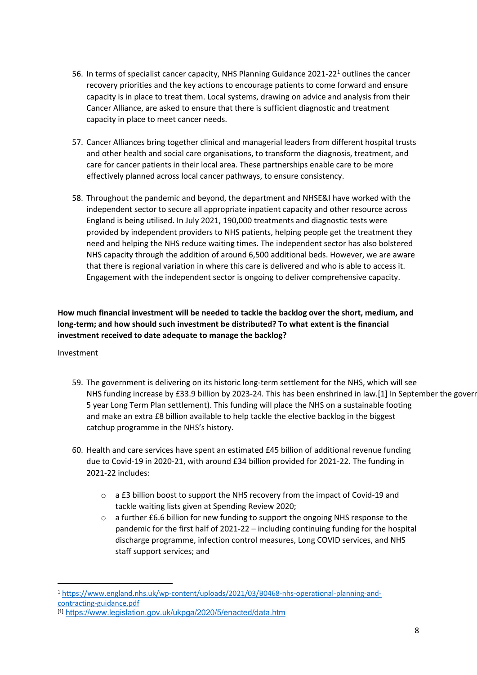- 56. In terms of specialist cancer capacity, NHS Planning Guidance 2021-22<sup>1</sup> outlines the cancer recovery priorities and the key actions to encourage patients to come forward and ensure capacity is in place to treat them. Local systems, drawing on advice and analysis from their Cancer Alliance, are asked to ensure that there is sufficient diagnostic and treatment capacity in place to meet cancer needs.
- 57. Cancer Alliances bring together clinical and managerial leaders from different hospital trusts and other health and social care organisations, to transform the diagnosis, treatment, and care for cancer patients in their local area. These partnerships enable care to be more effectively planned across local cancer pathways, to ensure consistency.
- 58. Throughout the pandemic and beyond, the department and NHSE&I have worked with the independent sector to secure all appropriate inpatient capacity and other resource across England is being utilised. In July 2021, 190,000 treatments and diagnostic tests were provided by independent providers to NHS patients, helping people get the treatment they need and helping the NHS reduce waiting times. The independent sector has also bolstered NHS capacity through the addition of around 6,500 additional beds. However, we are aware that there is regional variation in where this care is delivered and who is able to access it. Engagement with the independent sector is ongoing to deliver comprehensive capacity.

# **How much financial investment will be needed to tackle the backlog over the short, medium, and long-term; and how should such investment be distributed? To what extent is the financial investment received to date adequate to manage the backlog?**

### Investment

- 59. The government is delivering on its historic long-term settlement for the NHS, which will see NHS funding increase by £33.9 billion by 2023-24. This has been enshrined in law.[1] In September the gover 5 year Long Term Plan settlement). This funding will place the NHS on a sustainable footing and make an extra £8 billion available to help tackle the elective backlog in the biggest catchup programme in the NHS's history.
- 60. Health and care services have spent an estimated £45 billion of additional revenue funding due to Covid-19 in 2020-21, with around £34 billion provided for 2021-22. The funding in 2021-22 includes:
	- o a £3 billion boost to support the NHS recovery from the impact of Covid-19 and tackle waiting lists given at Spending Review 2020;
	- o a further £6.6 billion for new funding to support the ongoing NHS response to the pandemic for the first half of 2021-22 – including continuing funding for the hospital discharge programme, infection control measures, Long COVID services, and NHS staff support services; and

<sup>1</sup> [https://www.england.nhs.uk/wp-content/uploads/2021/03/B0468-nhs-operational-planning-and](https://www.england.nhs.uk/wp-content/uploads/2021/03/B0468-nhs-operational-planning-and-contracting-guidance.pdf)[contracting-guidance.pdf](https://www.england.nhs.uk/wp-content/uploads/2021/03/B0468-nhs-operational-planning-and-contracting-guidance.pdf)

<sup>[1]</sup> <https://www.legislation.gov.uk/ukpga/2020/5/enacted/data.htm>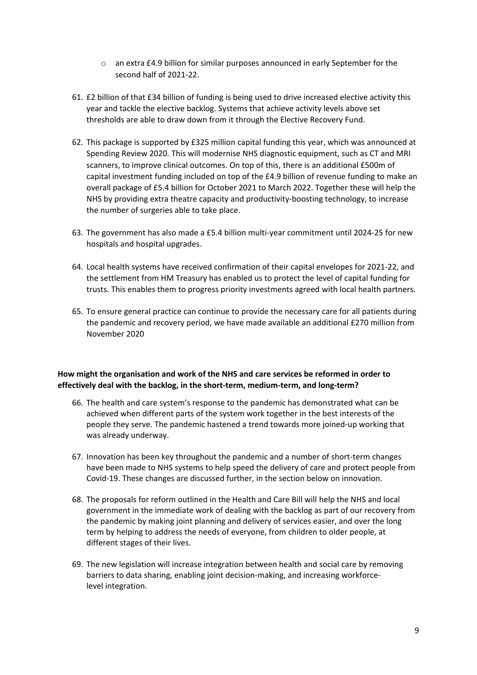- o an extra £4.9 billion for similar purposes announced in early September for the second half of 2021-22.
- 61. £2 billion of that £34 billion of funding is being used to drive increased elective activity this year and tackle the elective backlog. Systems that achieve activity levels above set thresholds are able to draw down from it through the Elective Recovery Fund.
- 62. This package is supported by £325 million capital funding this year, which was announced at Spending Review 2020. This will modernise NHS diagnostic equipment, such as CT and MRI scanners, to improve clinical outcomes. On top of this, there is an additional £500m of capital investment funding included on top of the £4.9 billion of revenue funding to make an overall package of £5.4 billion for October 2021 to March 2022. Together these will help the NHS by providing extra theatre capacity and productivity-boosting technology, to increase the number of surgeries able to take place.
- 63. The government has also made a £5.4 billion multi-year commitment until 2024-25 for new hospitals and hospital upgrades.
- 64. Local health systems have received confirmation of their capital envelopes for 2021-22, and the settlement from HM Treasury has enabled us to protect the level of capital funding for trusts. This enables them to progress priority investments agreed with local health partners.
- 65. To ensure general practice can continue to provide the necessary care for all patients during the pandemic and recovery period, we have made available an additional £270 million from November 2020

## **How might the organisation and work of the NHS and care services be reformed in order to effectively deal with the backlog, in the short-term, medium-term, and long-term?**

- 66. The health and care system's response to the pandemic has demonstrated what can be achieved when different parts of the system work together in the best interests of the people they serve. The pandemic hastened a trend towards more joined-up working that was already underway.
- 67. Innovation has been key throughout the pandemic and a number of short-term changes have been made to NHS systems to help speed the delivery of care and protect people from Covid-19. These changes are discussed further, in the section below on innovation.
- 68. The proposals for reform outlined in the Health and Care Bill will help the NHS and local government in the immediate work of dealing with the backlog as part of our recovery from the pandemic by making joint planning and delivery of services easier, and over the long term by helping to address the needs of everyone, from children to older people, at different stages of their lives.
- 69. The new legislation will increase integration between health and social care by removing barriers to data sharing, enabling joint decision-making, and increasing workforcelevel integration.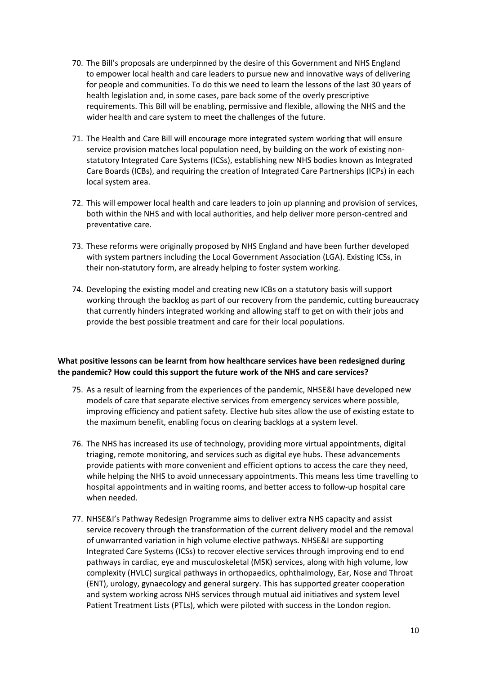- 70. The Bill's proposals are underpinned by the desire of this Government and NHS England to empower local health and care leaders to pursue new and innovative ways of delivering for people and communities. To do this we need to learn the lessons of the last 30 years of health legislation and, in some cases, pare back some of the overly prescriptive requirements. This Bill will be enabling, permissive and flexible, allowing the NHS and the wider health and care system to meet the challenges of the future.
- 71. The Health and Care Bill will encourage more integrated system working that will ensure service provision matches local population need, by building on the work of existing nonstatutory Integrated Care Systems (ICSs), establishing new NHS bodies known as Integrated Care Boards (ICBs), and requiring the creation of Integrated Care Partnerships (ICPs) in each local system area.
- 72. This will empower local health and care leaders to join up planning and provision of services, both within the NHS and with local authorities, and help deliver more person-centred and preventative care.
- 73. These reforms were originally proposed by NHS England and have been further developed with system partners including the Local Government Association (LGA). Existing ICSs, in their non-statutory form, are already helping to foster system working.
- 74. Developing the existing model and creating new ICBs on a statutory basis will support working through the backlog as part of our recovery from the pandemic, cutting bureaucracy that currently hinders integrated working and allowing staff to get on with their jobs and provide the best possible treatment and care for their local populations.

## **What positive lessons can be learnt from how healthcare services have been redesigned during the pandemic? How could this support the future work of the NHS and care services?**

- 75. As a result of learning from the experiences of the pandemic, NHSE&I have developed new models of care that separate elective services from emergency services where possible, improving efficiency and patient safety. Elective hub sites allow the use of existing estate to the maximum benefit, enabling focus on clearing backlogs at a system level.
- 76. The NHS has increased its use of technology, providing more virtual appointments, digital triaging, remote monitoring, and services such as digital eye hubs. These advancements provide patients with more convenient and efficient options to access the care they need, while helping the NHS to avoid unnecessary appointments. This means less time travelling to hospital appointments and in waiting rooms, and better access to follow-up hospital care when needed.
- 77. NHSE&I's Pathway Redesign Programme aims to deliver extra NHS capacity and assist service recovery through the transformation of the current delivery model and the removal of unwarranted variation in high volume elective pathways. NHSE&I are supporting Integrated Care Systems (ICSs) to recover elective services through improving end to end pathways in cardiac, eye and musculoskeletal (MSK) services, along with high volume, low complexity (HVLC) surgical pathways in orthopaedics, ophthalmology, Ear, Nose and Throat (ENT), urology, gynaecology and general surgery. This has supported greater cooperation and system working across NHS services through mutual aid initiatives and system level Patient Treatment Lists (PTLs), which were piloted with success in the London region.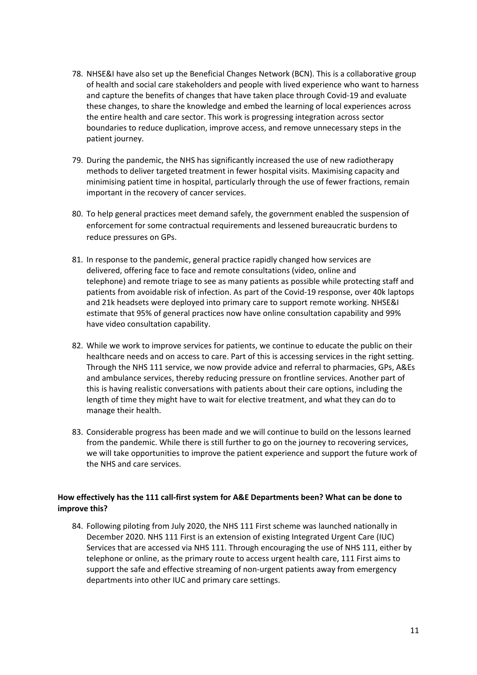- 78. NHSE&I have also set up the Beneficial Changes Network (BCN). This is a collaborative group of health and social care stakeholders and people with lived experience who want to harness and capture the benefits of changes that have taken place through Covid-19 and evaluate these changes, to share the knowledge and embed the learning of local experiences across the entire health and care sector. This work is progressing integration across sector boundaries to reduce duplication, improve access, and remove unnecessary steps in the patient journey.
- 79. During the pandemic, the NHS has significantly increased the use of new radiotherapy methods to deliver targeted treatment in fewer hospital visits. Maximising capacity and minimising patient time in hospital, particularly through the use of fewer fractions, remain important in the recovery of cancer services.
- 80. To help general practices meet demand safely, the government enabled the suspension of enforcement for some contractual requirements and lessened bureaucratic burdens to reduce pressures on GPs.
- 81. In response to the pandemic, general practice rapidly changed how services are delivered, offering face to face and remote consultations (video, online and telephone) and remote triage to see as many patients as possible while protecting staff and patients from avoidable risk of infection. As part of the Covid-19 response, over 40k laptops and 21k headsets were deployed into primary care to support remote working. NHSE&I estimate that 95% of general practices now have online consultation capability and 99% have video consultation capability.
- 82. While we work to improve services for patients, we continue to educate the public on their healthcare needs and on access to care. Part of this is accessing services in the right setting. Through the NHS 111 service, we now provide advice and referral to pharmacies, GPs, A&Es and ambulance services, thereby reducing pressure on frontline services. Another part of this is having realistic conversations with patients about their care options, including the length of time they might have to wait for elective treatment, and what they can do to manage their health.
- 83. Considerable progress has been made and we will continue to build on the lessons learned from the pandemic. While there is still further to go on the journey to recovering services, we will take opportunities to improve the patient experience and support the future work of the NHS and care services.

# **How effectively has the 111 call-first system for A&E Departments been? What can be done to improve this?**

84. Following piloting from July 2020, the NHS 111 First scheme was launched nationally in December 2020. NHS 111 First is an extension of existing Integrated Urgent Care (IUC) Services that are accessed via NHS 111. Through encouraging the use of NHS 111, either by telephone or online, as the primary route to access urgent health care, 111 First aims to support the safe and effective streaming of non-urgent patients away from emergency departments into other IUC and primary care settings.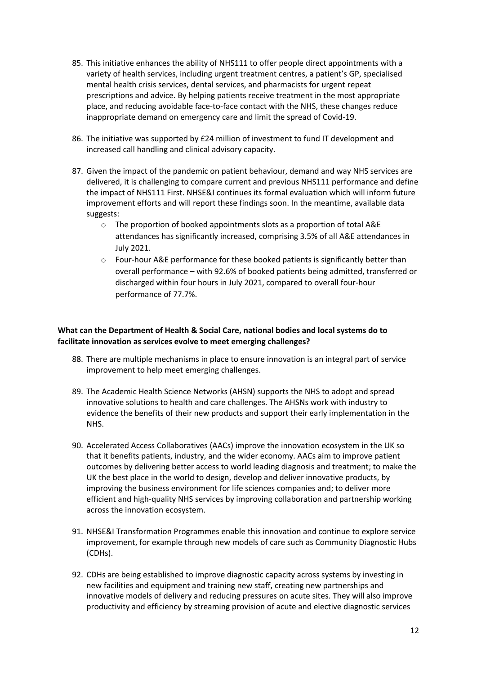- 85. This initiative enhances the ability of NHS111 to offer people direct appointments with a variety of health services, including urgent treatment centres, a patient's GP, specialised mental health crisis services, dental services, and pharmacists for urgent repeat prescriptions and advice. By helping patients receive treatment in the most appropriate place, and reducing avoidable face-to-face contact with the NHS, these changes reduce inappropriate demand on emergency care and limit the spread of Covid-19.
- 86. The initiative was supported by £24 million of investment to fund IT development and increased call handling and clinical advisory capacity.
- 87. Given the impact of the pandemic on patient behaviour, demand and way NHS services are delivered, it is challenging to compare current and previous NHS111 performance and define the impact of NHS111 First. NHSE&I continues its formal evaluation which will inform future improvement efforts and will report these findings soon. In the meantime, available data suggests:
	- $\circ$  The proportion of booked appointments slots as a proportion of total A&E attendances has significantly increased, comprising 3.5% of all A&E attendances in July 2021.
	- $\circ$  Four-hour A&E performance for these booked patients is significantly better than overall performance – with 92.6% of booked patients being admitted, transferred or discharged within four hours in July 2021, compared to overall four-hour performance of 77.7%.

## **What can the Department of Health & Social Care, national bodies and local systems do to facilitate innovation as services evolve to meet emerging challenges?**

- 88. There are multiple mechanisms in place to ensure innovation is an integral part of service improvement to help meet emerging challenges.
- 89. The Academic Health Science Networks (AHSN) supports the NHS to adopt and spread innovative solutions to health and care challenges. The AHSNs work with industry to evidence the benefits of their new products and support their early implementation in the NHS.
- 90. Accelerated Access Collaboratives (AACs) improve the innovation ecosystem in the UK so that it benefits patients, industry, and the wider economy. AACs aim to improve patient outcomes by delivering better access to world leading diagnosis and treatment; to make the UK the best place in the world to design, develop and deliver innovative products, by improving the business environment for life sciences companies and; to deliver more efficient and high-quality NHS services by improving collaboration and partnership working across the innovation ecosystem.
- 91. NHSE&I Transformation Programmes enable this innovation and continue to explore service improvement, for example through new models of care such as Community Diagnostic Hubs (CDHs).
- 92. CDHs are being established to improve diagnostic capacity across systems by investing in new facilities and equipment and training new staff, creating new partnerships and innovative models of delivery and reducing pressures on acute sites. They will also improve productivity and efficiency by streaming provision of acute and elective diagnostic services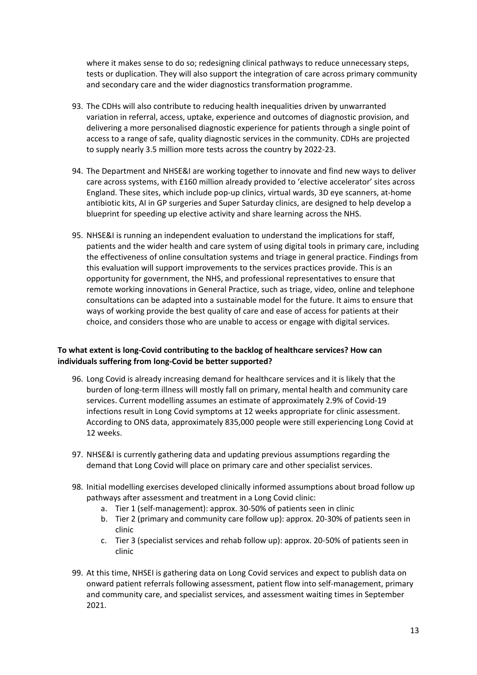where it makes sense to do so; redesigning clinical pathways to reduce unnecessary steps, tests or duplication. They will also support the integration of care across primary community and secondary care and the wider diagnostics transformation programme.

- 93. The CDHs will also contribute to reducing health inequalities driven by unwarranted variation in referral, access, uptake, experience and outcomes of diagnostic provision, and delivering a more personalised diagnostic experience for patients through a single point of access to a range of safe, quality diagnostic services in the community. CDHs are projected to supply nearly 3.5 million more tests across the country by 2022-23.
- 94. The Department and NHSE&I are working together to innovate and find new ways to deliver care across systems, with £160 million already provided to 'elective accelerator' sites across England. These sites, which include pop-up clinics, virtual wards, 3D eye scanners, at-home antibiotic kits, AI in GP surgeries and Super Saturday clinics, are designed to help develop a blueprint for speeding up elective activity and share learning across the NHS.
- 95. NHSE&I is running an independent evaluation to understand the implications for staff, patients and the wider health and care system of using digital tools in primary care, including the effectiveness of online consultation systems and triage in general practice. Findings from this evaluation will support improvements to the services practices provide. This is an opportunity for government, the NHS, and professional representatives to ensure that remote working innovations in General Practice, such as triage, video, online and telephone consultations can be adapted into a sustainable model for the future. It aims to ensure that ways of working provide the best quality of care and ease of access for patients at their choice, and considers those who are unable to access or engage with digital services.

# **To what extent is long-Covid contributing to the backlog of healthcare services? How can individuals suffering from long-Covid be better supported?**

- 96. Long Covid is already increasing demand for healthcare services and it is likely that the burden of long-term illness will mostly fall on primary, mental health and community care services. Current modelling assumes an estimate of approximately 2.9% of Covid-19 infections result in Long Covid symptoms at 12 weeks appropriate for clinic assessment. According to ONS data, approximately 835,000 people were still experiencing Long Covid at 12 weeks.
- 97. NHSE&I is currently gathering data and updating previous assumptions regarding the demand that Long Covid will place on primary care and other specialist services.
- 98. Initial modelling exercises developed clinically informed assumptions about broad follow up pathways after assessment and treatment in a Long Covid clinic:
	- a. Tier 1 (self-management): approx. 30-50% of patients seen in clinic
	- b. Tier 2 (primary and community care follow up): approx. 20-30% of patients seen in clinic
	- c. Tier 3 (specialist services and rehab follow up): approx. 20-50% of patients seen in clinic
- 99. At this time, NHSEI is gathering data on Long Covid services and expect to publish data on onward patient referrals following assessment, patient flow into self-management, primary and community care, and specialist services, and assessment waiting times in September 2021.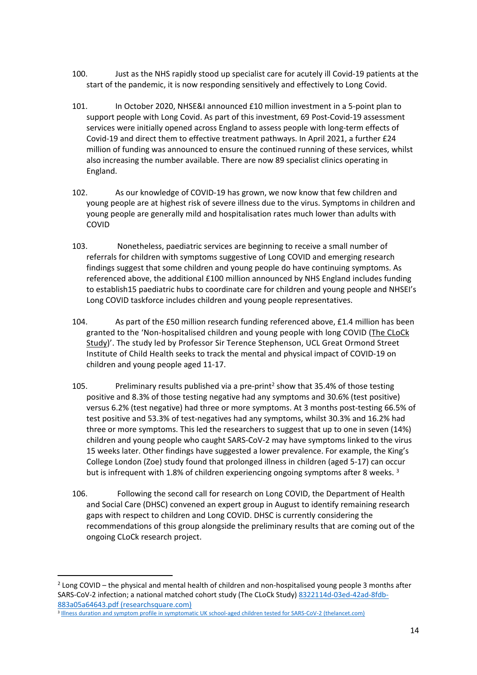- 100. Just as the NHS rapidly stood up specialist care for acutely ill Covid-19 patients at the start of the pandemic, it is now responding sensitively and effectively to Long Covid.
- 101. In October 2020, NHSE&I announced £10 million investment in a 5-point plan to support people with Long Covid. As part of this investment, 69 Post-Covid-19 assessment services were initially opened across England to assess people with long-term effects of Covid-19 and direct them to effective treatment pathways. In April 2021, a further £24 million of funding was announced to ensure the continued running of these services, whilst also increasing the number available. There are now 89 specialist clinics operating in England.
- 102. As our knowledge of COVID-19 has grown, we now know that few children and young people are at highest risk of severe illness due to the virus. Symptoms in children and young people are generally mild and hospitalisation rates much lower than adults with COVID
- 103. Nonetheless, paediatric services are beginning to receive a small number of referrals for children with symptoms suggestive of Long COVID and emerging research findings suggest that some children and young people do have continuing symptoms. As referenced above, the additional £100 million announced by NHS England includes funding to establish15 paediatric hubs to coordinate care for children and young people and NHSEI's Long COVID taskforce includes children and young people representatives.
- 104. As part of the £50 million research funding referenced above, £1.4 million has been granted to the 'Non-hospitalised children and young people with long COVID (The CLoCk Study)'. The study led by Professor Sir Terence Stephenson, UCL Great Ormond Street Institute of Child Health seeks to track the mental and physical impact of COVID-19 on children and young people aged 11-17.
- 105. Preliminary results published via a pre-print<sup>2</sup> show that 35.4% of those testing positive and 8.3% of those testing negative had any symptoms and 30.6% (test positive) versus 6.2% (test negative) had three or more symptoms. At 3 months post-testing 66.5% of test positive and 53.3% of test-negatives had any symptoms, whilst 30.3% and 16.2% had three or more symptoms. This led the researchers to suggest that up to one in seven (14%) children and young people who caught SARS-CoV-2 may have symptoms linked to the virus 15 weeks later. Other findings have suggested a lower prevalence. For example, the King's College London (Zoe) study found that prolonged illness in children (aged 5-17) can occur but is infrequent with 1.8% of children experiencing ongoing symptoms after 8 weeks.<sup>3</sup>
- 106. Following the second call for research on Long COVID, the Department of Health and Social Care (DHSC) convened an expert group in August to identify remaining research gaps with respect to children and Long COVID. DHSC is currently considering the recommendations of this group alongside the preliminary results that are coming out of the ongoing CLoCk research project.

 $2$  Long COVID – the physical and mental health of children and non-hospitalised young people 3 months after SARS-CoV-2 infection; a national matched cohort study (The CLoCk Study) [8322114d-03ed-42ad-8fdb-](https://assets.researchsquare.com/files/rs-798316/v1/8322114d-03ed-42ad-8fdb-883a05a64643.pdf?c=1628633145)[883a05a64643.pdf](https://assets.researchsquare.com/files/rs-798316/v1/8322114d-03ed-42ad-8fdb-883a05a64643.pdf?c=1628633145) [\(researchsquare.com\)](https://assets.researchsquare.com/files/rs-798316/v1/8322114d-03ed-42ad-8fdb-883a05a64643.pdf?c=1628633145)

<sup>3</sup> [Illness](https://www.thelancet.com/action/showPdf?pii=S2352-4642%2821%2900198-X) [duration](https://www.thelancet.com/action/showPdf?pii=S2352-4642%2821%2900198-X) [and](https://www.thelancet.com/action/showPdf?pii=S2352-4642%2821%2900198-X) [symptom](https://www.thelancet.com/action/showPdf?pii=S2352-4642%2821%2900198-X) [profile](https://www.thelancet.com/action/showPdf?pii=S2352-4642%2821%2900198-X) [in](https://www.thelancet.com/action/showPdf?pii=S2352-4642%2821%2900198-X) [symptomatic](https://www.thelancet.com/action/showPdf?pii=S2352-4642%2821%2900198-X) [UK](https://www.thelancet.com/action/showPdf?pii=S2352-4642%2821%2900198-X) [school-aged](https://www.thelancet.com/action/showPdf?pii=S2352-4642%2821%2900198-X) [children](https://www.thelancet.com/action/showPdf?pii=S2352-4642%2821%2900198-X) [tested](https://www.thelancet.com/action/showPdf?pii=S2352-4642%2821%2900198-X) [for](https://www.thelancet.com/action/showPdf?pii=S2352-4642%2821%2900198-X) [SARS-CoV-2](https://www.thelancet.com/action/showPdf?pii=S2352-4642%2821%2900198-X) [\(thelancet.com\)](https://www.thelancet.com/action/showPdf?pii=S2352-4642%2821%2900198-X)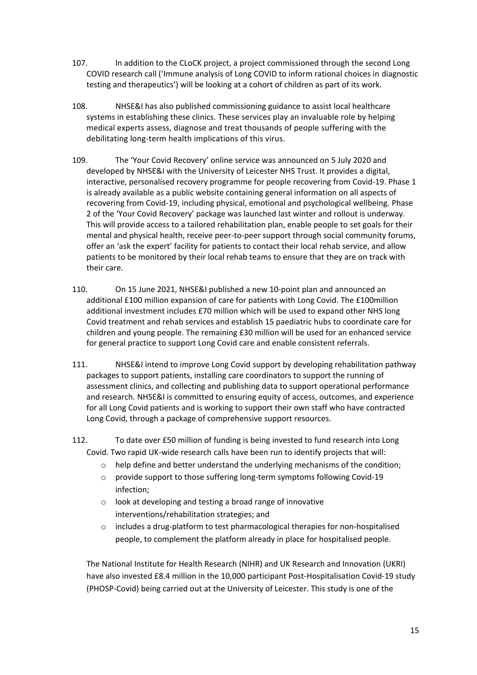- 107. In addition to the CLoCK project, a project commissioned through the second Long COVID research call ('Immune analysis of Long COVID to inform rational choices in diagnostic testing and therapeutics') will be looking at a cohort of children as part of its work.
- 108. NHSE&I has also published commissioning guidance to assist local healthcare systems in establishing these clinics. These services play an invaluable role by helping medical experts assess, diagnose and treat thousands of people suffering with the debilitating long-term health implications of this virus.
- 109. The 'Your Covid Recovery' online service was announced on 5 July 2020 and developed by NHSE&I with the University of Leicester NHS Trust. It provides a digital, interactive, personalised recovery programme for people recovering from Covid-19. Phase 1 is already available as a public website containing general information on all aspects of recovering from Covid-19, including physical, emotional and psychological wellbeing. Phase 2 of the 'Your Covid Recovery' package was launched last winter and rollout is underway. This will provide access to a tailored rehabilitation plan, enable people to set goals for their mental and physical health, receive peer-to-peer support through social community forums, offer an 'ask the expert' facility for patients to contact their local rehab service, and allow patients to be monitored by their local rehab teams to ensure that they are on track with their care.
- 110. On 15 June 2021, NHSE&I published a new 10-point plan and announced an additional £100 million expansion of care for patients with Long Covid. The £100million additional investment includes £70 million which will be used to expand other NHS long Covid treatment and rehab services and establish 15 paediatric hubs to coordinate care for children and young people. The remaining £30 million will be used for an enhanced service for general practice to support Long Covid care and enable consistent referrals.
- 111. NHSE&I intend to improve Long Covid support by developing rehabilitation pathway packages to support patients, installing care coordinators to support the running of assessment clinics, and collecting and publishing data to support operational performance and research. NHSE&I is committed to ensuring equity of access, outcomes, and experience for all Long Covid patients and is working to support their own staff who have contracted Long Covid, through a package of comprehensive support resources.
- 112. To date over £50 million of funding is being invested to fund research into Long Covid. Two rapid UK-wide research calls have been run to identify projects that will:
	- $\circ$  help define and better understand the underlying mechanisms of the condition;
	- o provide support to those suffering long-term symptoms following Covid-19 infection;
	- o look at developing and testing a broad range of innovative interventions/rehabilitation strategies; and
	- o includes a drug-platform to test pharmacological therapies for non-hospitalised people, to complement the platform already in place for hospitalised people.

The National Institute for Health Research (NIHR) and UK Research and Innovation (UKRI) have also invested £8.4 million in the 10,000 participant Post-Hospitalisation Covid-19 study (PHOSP-Covid) being carried out at the University of Leicester. This study is one of the